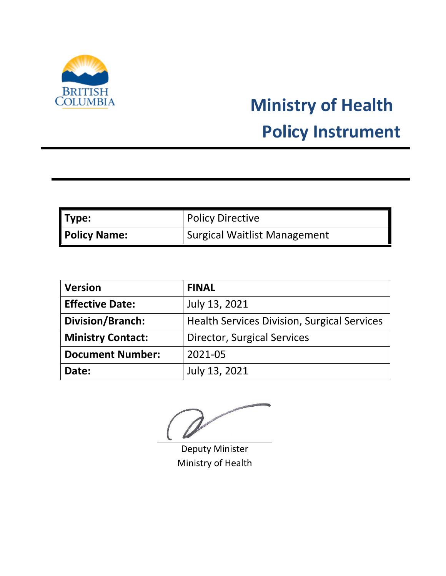

# **Ministry of Health Policy Instrument**

| Type:               | <b>Policy Directive</b>             |
|---------------------|-------------------------------------|
| <b>Policy Name:</b> | <b>Surgical Waitlist Management</b> |

| <b>Version</b>           | <b>FINAL</b>                                       |
|--------------------------|----------------------------------------------------|
| <b>Effective Date:</b>   | July 13, 2021                                      |
| Division/Branch:         | <b>Health Services Division, Surgical Services</b> |
| <b>Ministry Contact:</b> | <b>Director, Surgical Services</b>                 |
| <b>Document Number:</b>  | 2021-05                                            |
| Date:                    | July 13, 2021                                      |

Deputy Minister Ministry of Health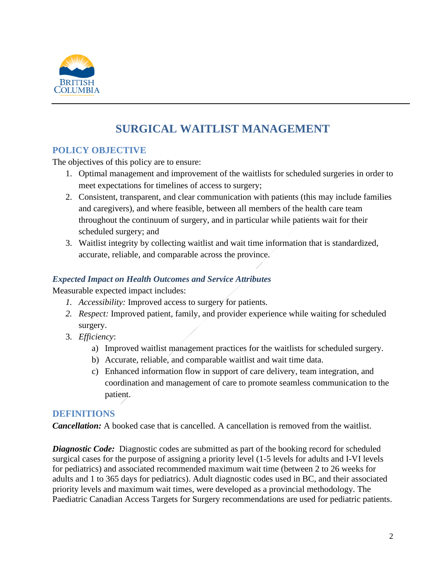

# **SURGICAL WAITLIST MANAGEMENT**

# **POLICY OBJECTIVE**

The objectives of this policy are to ensure:

- 1. Optimal management and improvement of the waitlists for scheduled surgeries in order to meet expectations for timelines of access to surgery;
- 2. Consistent, transparent, and clear communication with patients (this may include families and caregivers), and where feasible, between all members of the health care team throughout the continuum of surgery, and in particular while patients wait for their scheduled surgery; and
- 3. Waitlist integrity by collecting waitlist and wait time information that is standardized, accurate, reliable, and comparable across the province.

#### *Expected Impact on Health Outcomes and Service Attributes*

Measurable expected impact includes:

- *1. Accessibility:* Improved access to surgery for patients.
- *2. Respect:* Improved patient, family, and provider experience while waiting for scheduled surgery.
- 3. *Efficiency*:
	- a) Improved waitlist management practices for the waitlists for scheduled surgery.
	- b) Accurate, reliable, and comparable waitlist and wait time data.
	- c) Enhanced information flow in support of care delivery, team integration, and coordination and management of care to promote seamless communication to the patient.

# **DEFINITIONS**

*Cancellation:* A booked case that is cancelled. A cancellation is removed from the waitlist.

*Diagnostic Code:* Diagnostic codes are submitted as part of the booking record for scheduled surgical cases for the purpose of assigning a priority level (1-5 levels for adults and I-VI levels for pediatrics) and associated recommended maximum wait time (between 2 to 26 weeks for adults and 1 to 365 days for pediatrics). Adult diagnostic codes used in BC, and their associated priority levels and maximum wait times, were developed as a provincial methodology. The Paediatric Canadian Access Targets for Surgery recommendations are used for pediatric patients.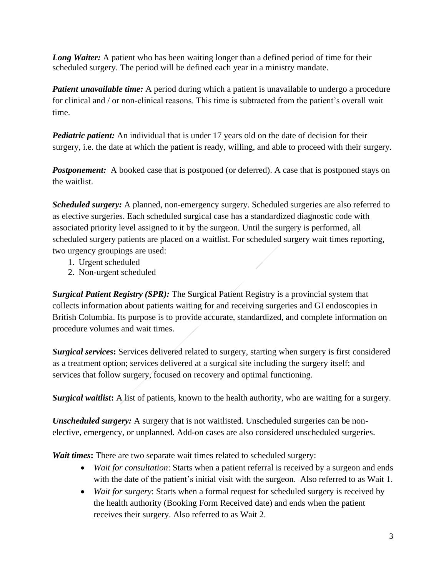*Long Waiter:* A patient who has been waiting longer than a defined period of time for their scheduled surgery. The period will be defined each year in a ministry mandate.

*Patient unavailable time:* A period during which a patient is unavailable to undergo a procedure for clinical and / or non-clinical reasons. This time is subtracted from the patient's overall wait time.

*Pediatric patient:* An individual that is under 17 years old on the date of decision for their surgery, i.e. the date at which the patient is ready, willing, and able to proceed with their surgery.

**Postponement:** A booked case that is postponed (or deferred). A case that is postponed stays on the waitlist.

*Scheduled surgery:* A planned, non-emergency surgery. Scheduled surgeries are also referred to as elective surgeries. Each scheduled surgical case has a standardized diagnostic code with associated priority level assigned to it by the surgeon. Until the surgery is performed, all scheduled surgery patients are placed on a waitlist. For scheduled surgery wait times reporting, two urgency groupings are used:

- 1. Urgent scheduled
- 2. Non-urgent scheduled

*Surgical Patient Registry (SPR):* The Surgical Patient Registry is a provincial system that collects information about patients waiting for and receiving surgeries and GI endoscopies in British Columbia. Its purpose is to provide accurate, standardized, and complete information on procedure volumes and wait times.

*Surgical services***:** Services delivered related to surgery, starting when surgery is first considered as a treatment option; services delivered at a surgical site including the surgery itself; and services that follow surgery, focused on recovery and optimal functioning.

*Surgical waitlist***:** A list of patients, known to the health authority, who are waiting for a surgery.

*Unscheduled surgery:* A surgery that is not waitlisted. Unscheduled surgeries can be nonelective, emergency, or unplanned. Add-on cases are also considered unscheduled surgeries.

*Wait times***:** There are two separate wait times related to scheduled surgery:

- *Wait for consultation*: Starts when a patient referral is received by a surgeon and ends with the date of the patient's initial visit with the surgeon. Also referred to as Wait 1.
- *Wait for surgery*: Starts when a formal request for scheduled surgery is received by the health authority (Booking Form Received date) and ends when the patient receives their surgery. Also referred to as Wait 2.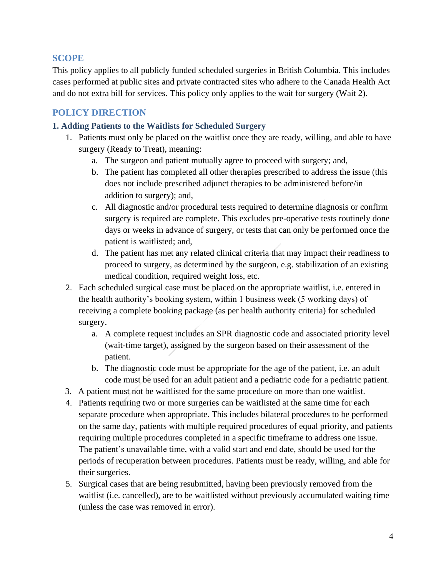# **SCOPE**

This policy applies to all publicly funded scheduled surgeries in British Columbia. This includes cases performed at public sites and private contracted sites who adhere to the Canada Health Act and do not extra bill for services. This policy only applies to the wait for surgery (Wait 2).

# **POLICY DIRECTION**

#### **1. Adding Patients to the Waitlists for Scheduled Surgery**

- 1. Patients must only be placed on the waitlist once they are ready, willing, and able to have surgery (Ready to Treat), meaning:
	- a. The surgeon and patient mutually agree to proceed with surgery; and,
	- b. The patient has completed all other therapies prescribed to address the issue (this does not include prescribed adjunct therapies to be administered before/in addition to surgery); and,
	- c. All diagnostic and/or procedural tests required to determine diagnosis or confirm surgery is required are complete. This excludes pre-operative tests routinely done days or weeks in advance of surgery, or tests that can only be performed once the patient is waitlisted; and,
	- d. The patient has met any related clinical criteria that may impact their readiness to proceed to surgery, as determined by the surgeon, e.g. stabilization of an existing medical condition, required weight loss, etc.
- 2. Each scheduled surgical case must be placed on the appropriate waitlist, i.e. entered in the health authority's booking system, within 1 business week (5 working days) of receiving a complete booking package (as per health authority criteria) for scheduled surgery.
	- a. A complete request includes an SPR diagnostic code and associated priority level (wait-time target), assigned by the surgeon based on their assessment of the patient.
	- b. The diagnostic code must be appropriate for the age of the patient, i.e. an adult code must be used for an adult patient and a pediatric code for a pediatric patient.
- 3. A patient must not be waitlisted for the same procedure on more than one waitlist.
- 4. Patients requiring two or more surgeries can be waitlisted at the same time for each separate procedure when appropriate. This includes bilateral procedures to be performed on the same day, patients with multiple required procedures of equal priority, and patients requiring multiple procedures completed in a specific timeframe to address one issue. The patient's unavailable time, with a valid start and end date, should be used for the periods of recuperation between procedures. Patients must be ready, willing, and able for their surgeries.
- 5. Surgical cases that are being resubmitted, having been previously removed from the waitlist (i.e. cancelled), are to be waitlisted without previously accumulated waiting time (unless the case was removed in error).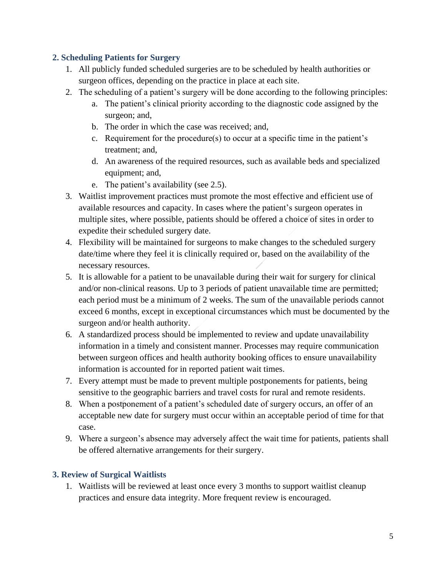#### **2. Scheduling Patients for Surgery**

- 1. All publicly funded scheduled surgeries are to be scheduled by health authorities or surgeon offices, depending on the practice in place at each site.
- 2. The scheduling of a patient's surgery will be done according to the following principles:
	- a. The patient's clinical priority according to the diagnostic code assigned by the surgeon; and,
	- b. The order in which the case was received; and,
	- c. Requirement for the procedure(s) to occur at a specific time in the patient's treatment; and,
	- d. An awareness of the required resources, such as available beds and specialized equipment; and,
	- e. The patient's availability (see 2.5).
- 3. Waitlist improvement practices must promote the most effective and efficient use of available resources and capacity. In cases where the patient's surgeon operates in multiple sites, where possible, patients should be offered a choice of sites in order to expedite their scheduled surgery date.
- 4. Flexibility will be maintained for surgeons to make changes to the scheduled surgery date/time where they feel it is clinically required or, based on the availability of the necessary resources.
- 5. It is allowable for a patient to be unavailable during their wait for surgery for clinical and/or non-clinical reasons. Up to 3 periods of patient unavailable time are permitted; each period must be a minimum of 2 weeks. The sum of the unavailable periods cannot exceed 6 months, except in exceptional circumstances which must be documented by the surgeon and/or health authority.
- 6. A standardized process should be implemented to review and update unavailability information in a timely and consistent manner. Processes may require communication between surgeon offices and health authority booking offices to ensure unavailability information is accounted for in reported patient wait times.
- 7. Every attempt must be made to prevent multiple postponements for patients, being sensitive to the geographic barriers and travel costs for rural and remote residents.
- 8. When a postponement of a patient's scheduled date of surgery occurs, an offer of an acceptable new date for surgery must occur within an acceptable period of time for that case.
- 9. Where a surgeon's absence may adversely affect the wait time for patients, patients shall be offered alternative arrangements for their surgery.

# **3. Review of Surgical Waitlists**

1. Waitlists will be reviewed at least once every 3 months to support waitlist cleanup practices and ensure data integrity. More frequent review is encouraged.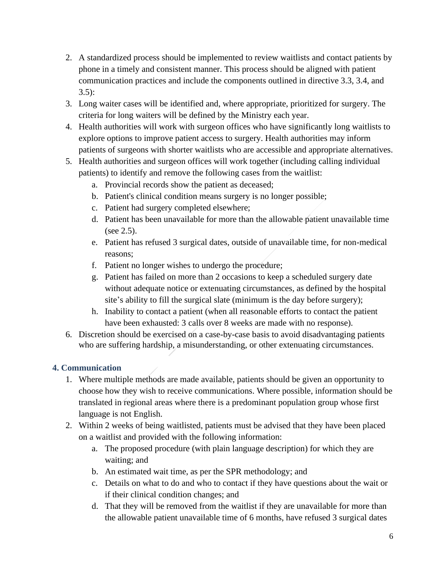- 2. A standardized process should be implemented to review waitlists and contact patients by phone in a timely and consistent manner. This process should be aligned with patient communication practices and include the components outlined in directive 3.3, 3.4, and 3.5):
- 3. Long waiter cases will be identified and, where appropriate, prioritized for surgery. The criteria for long waiters will be defined by the Ministry each year.
- 4. Health authorities will work with surgeon offices who have significantly long waitlists to explore options to improve patient access to surgery. Health authorities may inform patients of surgeons with shorter waitlists who are accessible and appropriate alternatives.
- 5. Health authorities and surgeon offices will work together (including calling individual patients) to identify and remove the following cases from the waitlist:
	- a. Provincial records show the patient as deceased;
	- b. Patient's clinical condition means surgery is no longer possible;
	- c. Patient had surgery completed elsewhere;
	- d. Patient has been unavailable for more than the allowable patient unavailable time (see 2.5).
	- e. Patient has refused 3 surgical dates, outside of unavailable time, for non-medical reasons;
	- f. Patient no longer wishes to undergo the procedure;
	- g. Patient has failed on more than 2 occasions to keep a scheduled surgery date without adequate notice or extenuating circumstances, as defined by the hospital site's ability to fill the surgical slate (minimum is the day before surgery);
	- h. Inability to contact a patient (when all reasonable efforts to contact the patient have been exhausted: 3 calls over 8 weeks are made with no response).
- 6. Discretion should be exercised on a case-by-case basis to avoid disadvantaging patients who are suffering hardship, a misunderstanding, or other extenuating circumstances.

# **4. Communication**

- 1. Where multiple methods are made available, patients should be given an opportunity to choose how they wish to receive communications. Where possible, information should be translated in regional areas where there is a predominant population group whose first language is not English.
- 2. Within 2 weeks of being waitlisted, patients must be advised that they have been placed on a waitlist and provided with the following information:
	- a. The proposed procedure (with plain language description) for which they are waiting; and
	- b. An estimated wait time, as per the SPR methodology; and
	- c. Details on what to do and who to contact if they have questions about the wait or if their clinical condition changes; and
	- d. That they will be removed from the waitlist if they are unavailable for more than the allowable patient unavailable time of 6 months, have refused 3 surgical dates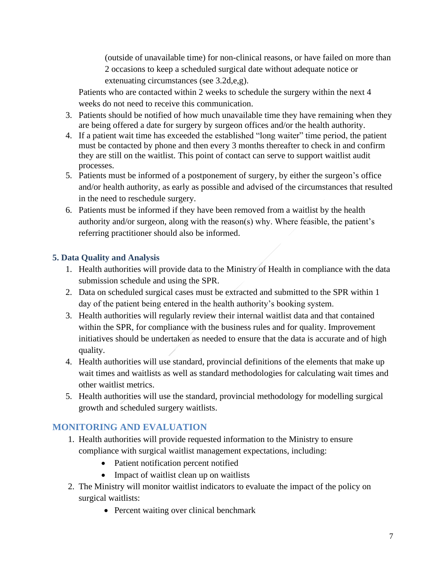(outside of unavailable time) for non-clinical reasons, or have failed on more than 2 occasions to keep a scheduled surgical date without adequate notice or extenuating circumstances (see 3.2d,e,g).

Patients who are contacted within 2 weeks to schedule the surgery within the next 4 weeks do not need to receive this communication.

- 3. Patients should be notified of how much unavailable time they have remaining when they are being offered a date for surgery by surgeon offices and/or the health authority.
- 4. If a patient wait time has exceeded the established "long waiter" time period, the patient must be contacted by phone and then every 3 months thereafter to check in and confirm they are still on the waitlist. This point of contact can serve to support waitlist audit processes.
- 5. Patients must be informed of a postponement of surgery, by either the surgeon's office and/or health authority, as early as possible and advised of the circumstances that resulted in the need to reschedule surgery.
- 6. Patients must be informed if they have been removed from a waitlist by the health authority and/or surgeon, along with the reason(s) why. Where feasible, the patient's referring practitioner should also be informed.

# **5. Data Quality and Analysis**

- 1. Health authorities will provide data to the Ministry of Health in compliance with the data submission schedule and using the SPR.
- 2. Data on scheduled surgical cases must be extracted and submitted to the SPR within 1 day of the patient being entered in the health authority's booking system.
- 3. Health authorities will regularly review their internal waitlist data and that contained within the SPR, for compliance with the business rules and for quality. Improvement initiatives should be undertaken as needed to ensure that the data is accurate and of high quality.
- 4. Health authorities will use standard, provincial definitions of the elements that make up wait times and waitlists as well as standard methodologies for calculating wait times and other waitlist metrics.
- 5. Health authorities will use the standard, provincial methodology for modelling surgical growth and scheduled surgery waitlists.

# **MONITORING AND EVALUATION**

- 1. Health authorities will provide requested information to the Ministry to ensure compliance with surgical waitlist management expectations, including:
	- Patient notification percent notified
	- Impact of waitlist clean up on waitlists
- 2. The Ministry will monitor waitlist indicators to evaluate the impact of the policy on surgical waitlists:
	- Percent waiting over clinical benchmark